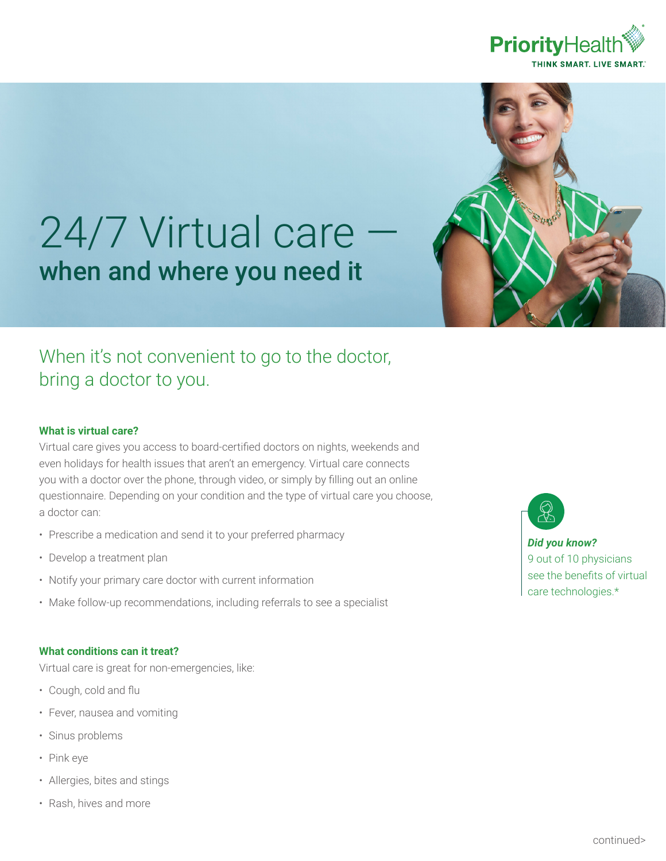



# 24/7 Virtual care when and where you need it

## When it's not convenient to go to the doctor, bring a doctor to you.

### **What is virtual care?**

Virtual care gives you access to board-certified doctors on nights, weekends and even holidays for health issues that aren't an emergency. Virtual care connects you with a doctor over the phone, through video, or simply by filling out an online questionnaire. Depending on your condition and the type of virtual care you choose, a doctor can:

- Prescribe a medication and send it to your preferred pharmacy
- Develop a treatment plan
- Notify your primary care doctor with current information
- Make follow-up recommendations, including referrals to see a specialist

#### **What conditions can it treat?**

Virtual care is great for non-emergencies, like:

- Cough, cold and flu
- Fever, nausea and vomiting
- Sinus problems
- Pink eye
- Allergies, bites and stings
- Rash, hives and more

*Did you know?*  9 out of 10 physicians see the benefits of virtual care technologies.\*